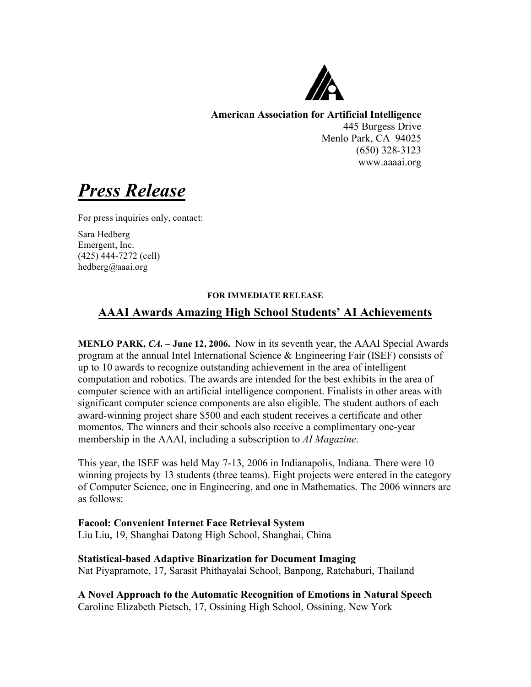

**American Association for Artificial Intelligence** 445 Burgess Drive Menlo Park, CA 94025 (650) 328-3123 www.aaaai.org

*Press Release*

For press inquiries only, contact:

Sara Hedberg Emergent, Inc. (425) 444-7272 (cell) hedberg@aaai.org

## **FOR IMMEDIATE RELEASE**

# **AAAI Awards Amazing High School Students' AI Achievements**

**MENLO PARK,** *CA.* **– June 12, 2006.** Now in its seventh year, the AAAI Special Awards program at the annual Intel International Science & Engineering Fair (ISEF) consists of up to 10 awards to recognize outstanding achievement in the area of intelligent computation and robotics. The awards are intended for the best exhibits in the area of computer science with an artificial intelligence component. Finalists in other areas with significant computer science components are also eligible. The student authors of each award-winning project share \$500 and each student receives a certificate and other momentos. The winners and their schools also receive a complimentary one-year membership in the AAAI, including a subscription to *AI Magazine*.

This year, the ISEF was held May 7-13, 2006 in Indianapolis, Indiana. There were 10 winning projects by 13 students (three teams). Eight projects were entered in the category of Computer Science, one in Engineering, and one in Mathematics. The 2006 winners are as follows:

# **Facool: Convenient Internet Face Retrieval System** Liu Liu, 19, Shanghai Datong High School, Shanghai, China

**Statistical-based Adaptive Binarization for Document Imaging** Nat Piyapramote, 17, Sarasit Phithayalai School, Banpong, Ratchaburi, Thailand

**A Novel Approach to the Automatic Recognition of Emotions in Natural Speech** Caroline Elizabeth Pietsch, 17, Ossining High School, Ossining, New York